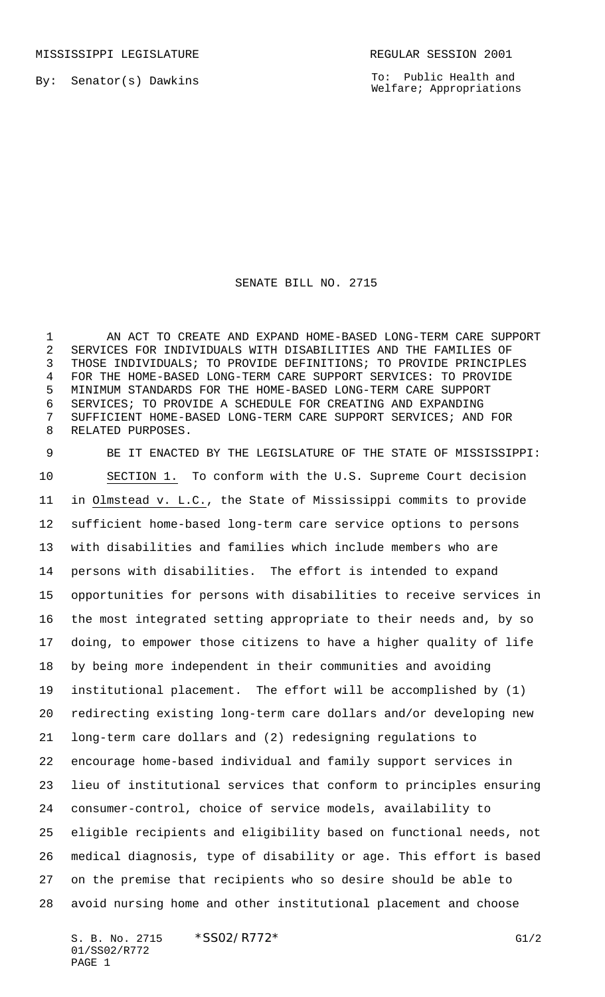MISSISSIPPI LEGISLATURE **REGULAR SESSION 2001** 

By: Senator(s) Dawkins

To: Public Health and Welfare; Appropriations

## SENATE BILL NO. 2715

 AN ACT TO CREATE AND EXPAND HOME-BASED LONG-TERM CARE SUPPORT SERVICES FOR INDIVIDUALS WITH DISABILITIES AND THE FAMILIES OF THOSE INDIVIDUALS; TO PROVIDE DEFINITIONS; TO PROVIDE PRINCIPLES FOR THE HOME-BASED LONG-TERM CARE SUPPORT SERVICES: TO PROVIDE MINIMUM STANDARDS FOR THE HOME-BASED LONG-TERM CARE SUPPORT SERVICES; TO PROVIDE A SCHEDULE FOR CREATING AND EXPANDING SUFFICIENT HOME-BASED LONG-TERM CARE SUPPORT SERVICES; AND FOR RELATED PURPOSES.

 BE IT ENACTED BY THE LEGISLATURE OF THE STATE OF MISSISSIPPI: SECTION 1. To conform with the U.S. Supreme Court decision in Olmstead v. L.C., the State of Mississippi commits to provide sufficient home-based long-term care service options to persons with disabilities and families which include members who are persons with disabilities. The effort is intended to expand opportunities for persons with disabilities to receive services in the most integrated setting appropriate to their needs and, by so doing, to empower those citizens to have a higher quality of life by being more independent in their communities and avoiding institutional placement. The effort will be accomplished by (1) redirecting existing long-term care dollars and/or developing new long-term care dollars and (2) redesigning regulations to encourage home-based individual and family support services in lieu of institutional services that conform to principles ensuring consumer-control, choice of service models, availability to eligible recipients and eligibility based on functional needs, not medical diagnosis, type of disability or age. This effort is based on the premise that recipients who so desire should be able to avoid nursing home and other institutional placement and choose

S. B. No. 2715 \* SS02/R772\* G1/2 01/SS02/R772 PAGE 1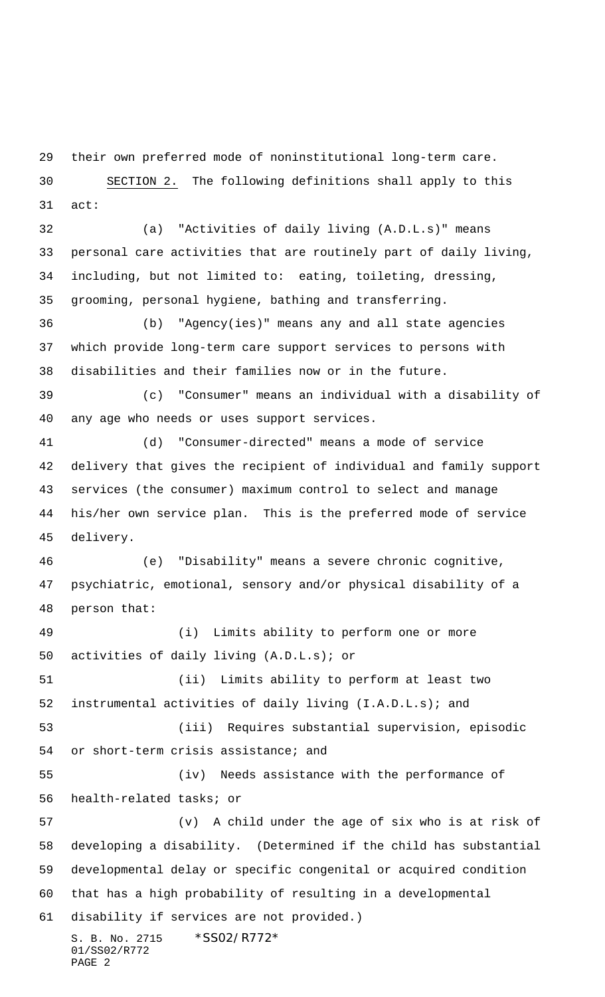their own preferred mode of noninstitutional long-term care.

 SECTION 2. The following definitions shall apply to this act:

 (a) "Activities of daily living (A.D.L.s)" means personal care activities that are routinely part of daily living, including, but not limited to: eating, toileting, dressing, grooming, personal hygiene, bathing and transferring.

 (b) "Agency(ies)" means any and all state agencies which provide long-term care support services to persons with disabilities and their families now or in the future.

 (c) "Consumer" means an individual with a disability of any age who needs or uses support services.

 (d) "Consumer-directed" means a mode of service delivery that gives the recipient of individual and family support services (the consumer) maximum control to select and manage his/her own service plan. This is the preferred mode of service delivery.

 (e) "Disability" means a severe chronic cognitive, psychiatric, emotional, sensory and/or physical disability of a person that:

 (i) Limits ability to perform one or more activities of daily living (A.D.L.s); or

 (ii) Limits ability to perform at least two instrumental activities of daily living (I.A.D.L.s); and

 (iii) Requires substantial supervision, episodic or short-term crisis assistance; and

 (iv) Needs assistance with the performance of health-related tasks; or

S. B. No. 2715 \* SS02/R772\* (v) A child under the age of six who is at risk of developing a disability. (Determined if the child has substantial developmental delay or specific congenital or acquired condition that has a high probability of resulting in a developmental disability if services are not provided.)

```
01/SS02/R772
PAGE 2
```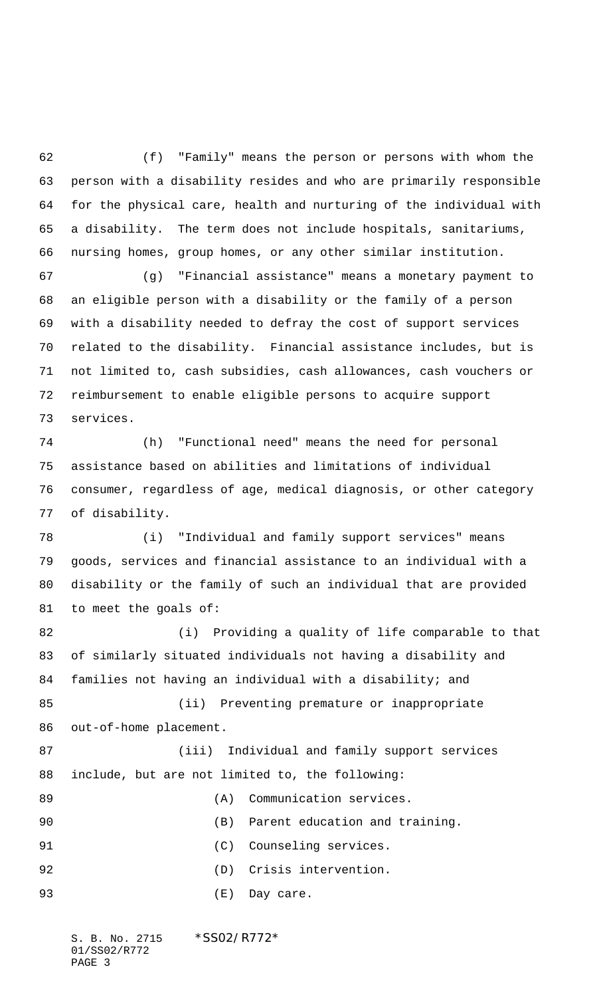(f) "Family" means the person or persons with whom the person with a disability resides and who are primarily responsible for the physical care, health and nurturing of the individual with a disability. The term does not include hospitals, sanitariums, nursing homes, group homes, or any other similar institution.

 (g) "Financial assistance" means a monetary payment to an eligible person with a disability or the family of a person with a disability needed to defray the cost of support services related to the disability. Financial assistance includes, but is not limited to, cash subsidies, cash allowances, cash vouchers or reimbursement to enable eligible persons to acquire support services.

 (h) "Functional need" means the need for personal assistance based on abilities and limitations of individual consumer, regardless of age, medical diagnosis, or other category of disability.

 (i) "Individual and family support services" means goods, services and financial assistance to an individual with a disability or the family of such an individual that are provided to meet the goals of:

 (i) Providing a quality of life comparable to that of similarly situated individuals not having a disability and families not having an individual with a disability; and (ii) Preventing premature or inappropriate out-of-home placement. (iii) Individual and family support services include, but are not limited to, the following: 89 (A) Communication services. (B) Parent education and training. 91 (C) Counseling services. (D) Crisis intervention. (E) Day care.

S. B. No. 2715 \*SS02/R772\* 01/SS02/R772 PAGE 3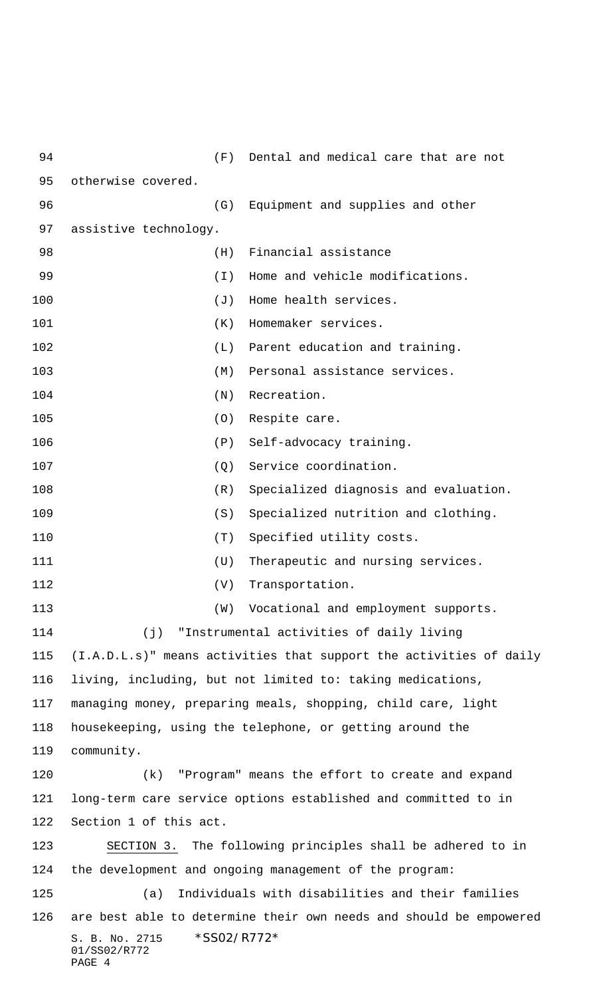| 94  |                                                                    | (F)      | Dental and medical care that are not                       |  |
|-----|--------------------------------------------------------------------|----------|------------------------------------------------------------|--|
| 95  | otherwise covered.                                                 |          |                                                            |  |
| 96  |                                                                    | (G)      | Equipment and supplies and other                           |  |
| 97  | assistive technology.                                              |          |                                                            |  |
| 98  |                                                                    | (H)      | Financial assistance                                       |  |
| 99  |                                                                    | $(\top)$ | Home and vehicle modifications.                            |  |
| 100 |                                                                    | (J)      | Home health services.                                      |  |
| 101 |                                                                    | (K)      | Homemaker services.                                        |  |
| 102 |                                                                    | (L)      | Parent education and training.                             |  |
| 103 |                                                                    | (M)      | Personal assistance services.                              |  |
| 104 |                                                                    | (N)      | Recreation.                                                |  |
| 105 |                                                                    | (0)      | Respite care.                                              |  |
| 106 |                                                                    | (P)      | Self-advocacy training.                                    |  |
| 107 |                                                                    | (Q)      | Service coordination.                                      |  |
| 108 |                                                                    | (R)      | Specialized diagnosis and evaluation.                      |  |
| 109 |                                                                    | (S)      | Specialized nutrition and clothing.                        |  |
| 110 |                                                                    | (T)      | Specified utility costs.                                   |  |
| 111 |                                                                    | (U)      | Therapeutic and nursing services.                          |  |
| 112 |                                                                    | (V)      | Transportation.                                            |  |
| 113 |                                                                    | (W)      | Vocational and employment supports.                        |  |
| 114 | (j)                                                                |          | "Instrumental activities of daily living                   |  |
| 115 | (I.A.D.L.s)" means activities that support the activities of daily |          |                                                            |  |
| 116 | living, including, but not limited to: taking medications,         |          |                                                            |  |
| 117 | managing money, preparing meals, shopping, child care, light       |          |                                                            |  |
| 118 | housekeeping, using the telephone, or getting around the           |          |                                                            |  |
| 119 | community.                                                         |          |                                                            |  |
| 120 | (k)                                                                |          | "Program" means the effort to create and expand            |  |
| 121 | long-term care service options established and committed to in     |          |                                                            |  |
| 122 | Section 1 of this act.                                             |          |                                                            |  |
| 123 |                                                                    |          | SECTION 3. The following principles shall be adhered to in |  |
| 124 | the development and ongoing management of the program:             |          |                                                            |  |
| 125 | Individuals with disabilities and their families<br>(a)            |          |                                                            |  |
| 126 | are best able to determine their own needs and should be empowered |          |                                                            |  |
|     | S. B. No. 2715<br>01/SS02/R772<br>PAGE 4                           |          | *SS02/R772*                                                |  |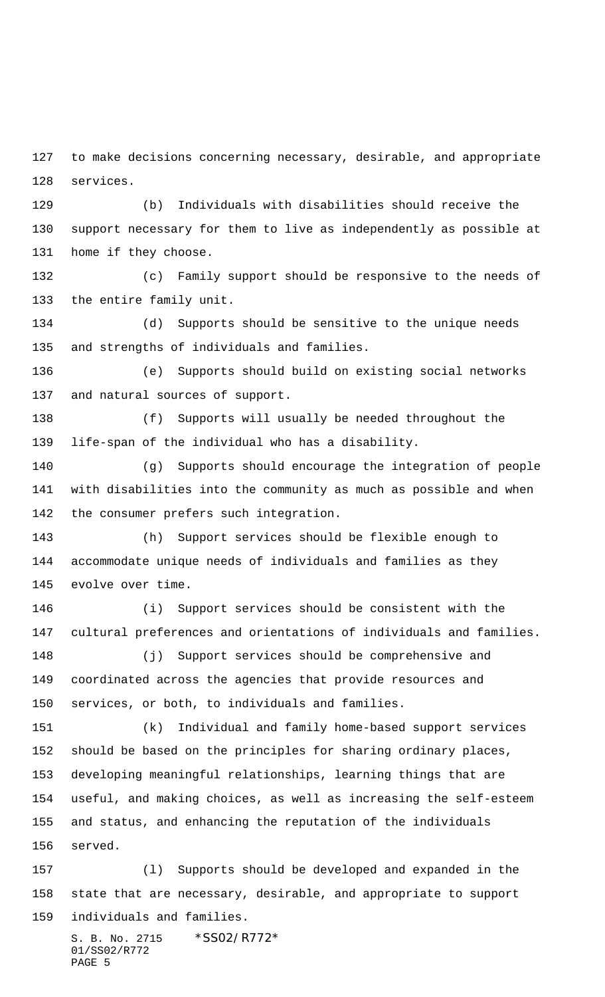to make decisions concerning necessary, desirable, and appropriate services.

 (b) Individuals with disabilities should receive the support necessary for them to live as independently as possible at home if they choose.

 (c) Family support should be responsive to the needs of the entire family unit.

 (d) Supports should be sensitive to the unique needs and strengths of individuals and families.

 (e) Supports should build on existing social networks and natural sources of support.

 (f) Supports will usually be needed throughout the life-span of the individual who has a disability.

 (g) Supports should encourage the integration of people with disabilities into the community as much as possible and when the consumer prefers such integration.

 (h) Support services should be flexible enough to accommodate unique needs of individuals and families as they evolve over time.

 (i) Support services should be consistent with the cultural preferences and orientations of individuals and families.

 (j) Support services should be comprehensive and coordinated across the agencies that provide resources and services, or both, to individuals and families.

 (k) Individual and family home-based support services should be based on the principles for sharing ordinary places, developing meaningful relationships, learning things that are useful, and making choices, as well as increasing the self-esteem and status, and enhancing the reputation of the individuals served.

 (l) Supports should be developed and expanded in the state that are necessary, desirable, and appropriate to support individuals and families.

S. B. No. 2715 \*SS02/R772\* 01/SS02/R772 PAGE 5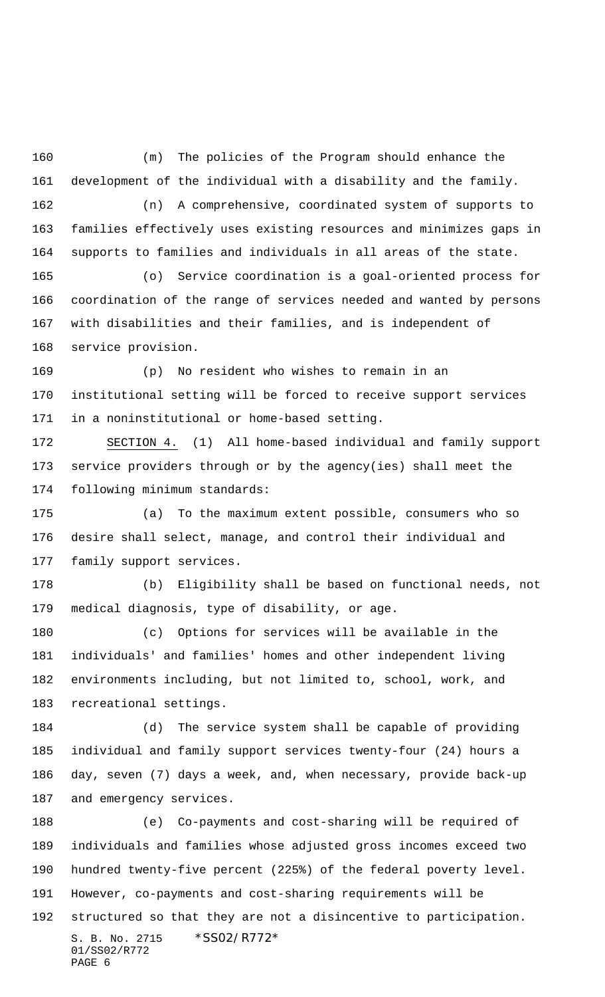(m) The policies of the Program should enhance the development of the individual with a disability and the family. (n) A comprehensive, coordinated system of supports to families effectively uses existing resources and minimizes gaps in supports to families and individuals in all areas of the state. (o) Service coordination is a goal-oriented process for coordination of the range of services needed and wanted by persons with disabilities and their families, and is independent of service provision. (p) No resident who wishes to remain in an institutional setting will be forced to receive support services in a noninstitutional or home-based setting. SECTION 4. (1) All home-based individual and family support service providers through or by the agency(ies) shall meet the following minimum standards: (a) To the maximum extent possible, consumers who so desire shall select, manage, and control their individual and family support services. (b) Eligibility shall be based on functional needs, not medical diagnosis, type of disability, or age. (c) Options for services will be available in the individuals' and families' homes and other independent living environments including, but not limited to, school, work, and recreational settings. (d) The service system shall be capable of providing individual and family support services twenty-four (24) hours a day, seven (7) days a week, and, when necessary, provide back-up and emergency services. (e) Co-payments and cost-sharing will be required of individuals and families whose adjusted gross incomes exceed two hundred twenty-five percent (225%) of the federal poverty level. However, co-payments and cost-sharing requirements will be structured so that they are not a disincentive to participation.

```
S. B. No. 2715 * SS02/R772*
01/SS02/R772
PAGE 6
```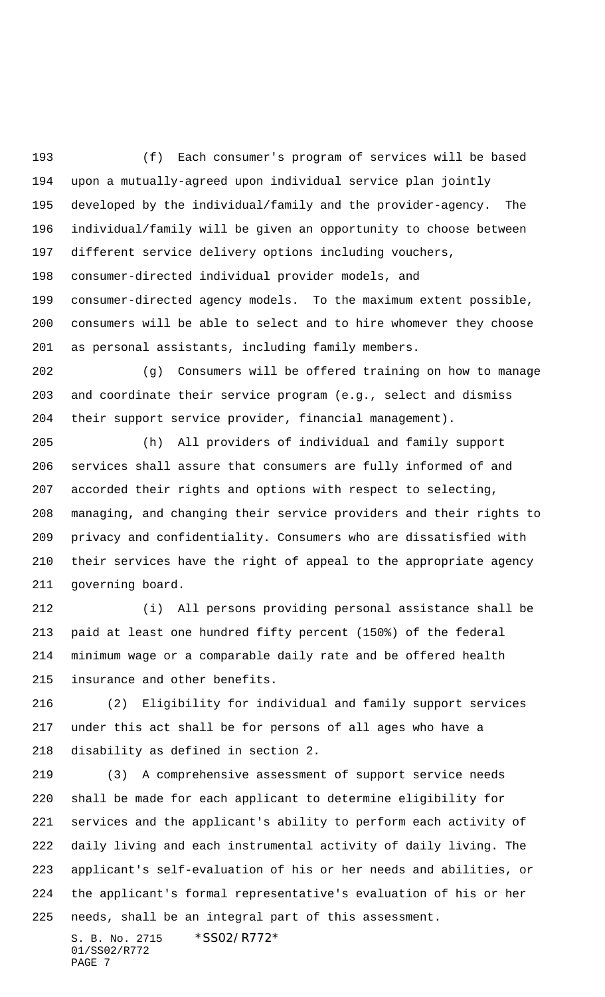(f) Each consumer's program of services will be based upon a mutually-agreed upon individual service plan jointly developed by the individual/family and the provider-agency. The individual/family will be given an opportunity to choose between different service delivery options including vouchers, consumer-directed individual provider models, and consumer-directed agency models. To the maximum extent possible, consumers will be able to select and to hire whomever they choose as personal assistants, including family members.

 (g) Consumers will be offered training on how to manage and coordinate their service program (e.g., select and dismiss their support service provider, financial management).

 (h) All providers of individual and family support services shall assure that consumers are fully informed of and accorded their rights and options with respect to selecting, managing, and changing their service providers and their rights to privacy and confidentiality. Consumers who are dissatisfied with their services have the right of appeal to the appropriate agency governing board.

 (i) All persons providing personal assistance shall be paid at least one hundred fifty percent (150%) of the federal minimum wage or a comparable daily rate and be offered health insurance and other benefits.

 (2) Eligibility for individual and family support services under this act shall be for persons of all ages who have a disability as defined in section 2.

 (3) A comprehensive assessment of support service needs shall be made for each applicant to determine eligibility for services and the applicant's ability to perform each activity of daily living and each instrumental activity of daily living. The applicant's self-evaluation of his or her needs and abilities, or the applicant's formal representative's evaluation of his or her needs, shall be an integral part of this assessment.

S. B. No. 2715 \*SS02/R772\* 01/SS02/R772 PAGE 7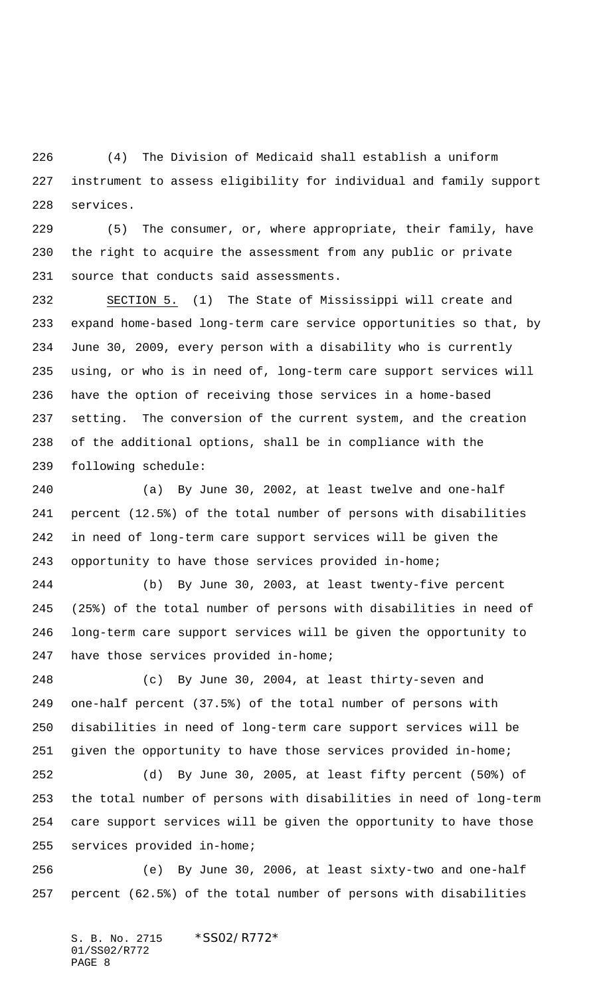(4) The Division of Medicaid shall establish a uniform instrument to assess eligibility for individual and family support services.

 (5) The consumer, or, where appropriate, their family, have the right to acquire the assessment from any public or private source that conducts said assessments.

 SECTION 5. (1) The State of Mississippi will create and expand home-based long-term care service opportunities so that, by June 30, 2009, every person with a disability who is currently using, or who is in need of, long-term care support services will have the option of receiving those services in a home-based setting. The conversion of the current system, and the creation of the additional options, shall be in compliance with the following schedule:

 (a) By June 30, 2002, at least twelve and one-half percent (12.5%) of the total number of persons with disabilities in need of long-term care support services will be given the opportunity to have those services provided in-home;

 (b) By June 30, 2003, at least twenty-five percent (25%) of the total number of persons with disabilities in need of long-term care support services will be given the opportunity to have those services provided in-home;

 (c) By June 30, 2004, at least thirty-seven and one-half percent (37.5%) of the total number of persons with disabilities in need of long-term care support services will be given the opportunity to have those services provided in-home;

 (d) By June 30, 2005, at least fifty percent (50%) of the total number of persons with disabilities in need of long-term care support services will be given the opportunity to have those services provided in-home;

 (e) By June 30, 2006, at least sixty-two and one-half percent (62.5%) of the total number of persons with disabilities

S. B. No. 2715 \* SS02/R772\* 01/SS02/R772 PAGE 8